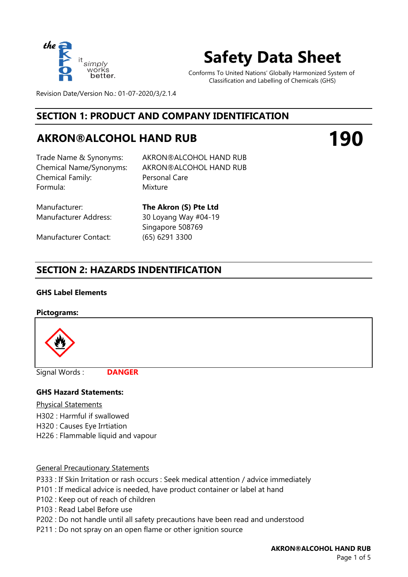

# **Safety Data Sheet**

Conforms To United Nations' Globally Harmonized System of Classification and Labelling of Chemicals (GHS)

**190**

Revision Date/Version No.: 01-07-2020/3/2.1.4

### **SECTION 1: PRODUCT AND COMPANY IDENTIFICATION**

## **AKRON®ALCOHOL HAND RUB**

Chemical Family: Formula: Mixture

Trade Name & Synonyms: AKRON®ALCOHOL HAND RUB Chemical Name/Synonyms: AKRON®ALCOHOL HAND RUB Personal Care

Manufacturer Contact: (65) 6291 3300

Manufacturer: **The Akron (S) Pte Ltd** Manufacturer Address: 30 Loyang Way #04-19 Singapore 508769

### **SECTION 2: HAZARDS INDENTIFICATION**

#### **GHS Label Elements**

#### **Pictograms:**



Signal Words :

**DANGER**

#### **GHS Hazard Statements:**

Physical Statements

- H302 : Harmful if swallowed
- H320 : Causes Eye Irrtiation
- H226 : Flammable liquid and vapour

#### General Precautionary Statements

- P333 : If Skin Irritation or rash occurs : Seek medical attention / advice immediately
- P101 : If medical advice is needed, have product container or label at hand
- P102 : Keep out of reach of children
- P103 : Read Label Before use
- P202 : Do not handle until all safety precautions have been read and understood
- P211 : Do not spray on an open flame or other ignition source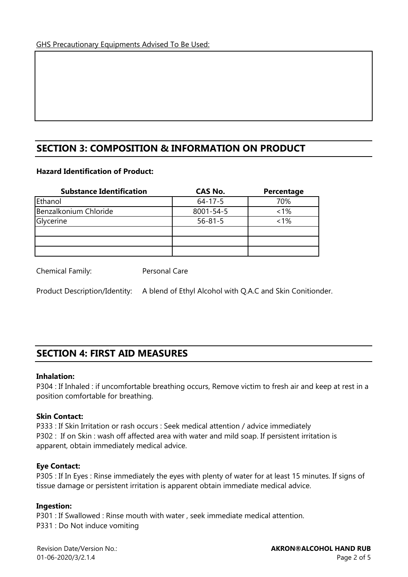### **SECTION 3: COMPOSITION & INFORMATION ON PRODUCT**

#### **Hazard Identification of Product:**

| <b>Substance Identification</b> | <b>CAS No.</b>  | Percentage |
|---------------------------------|-----------------|------------|
| Ethanol                         | $64 - 17 - 5$   | 70%        |
| Benzalkonium Chloride           | $8001 - 54 - 5$ | 1%         |
| Glycerine                       | $56 - 81 - 5$   | 1%         |
|                                 |                 |            |
|                                 |                 |            |
|                                 |                 |            |

Chemical Family: Personal Care

Product Description/Identity: A blend of Ethyl Alcohol with Q.A.C and Skin Conitionder.

### **SECTION 4: FIRST AID MEASURES**

#### **Inhalation:**

P304 : If Inhaled : if uncomfortable breathing occurs, Remove victim to fresh air and keep at rest in a position comfortable for breathing.

#### **Skin Contact:**

P333 : If Skin Irritation or rash occurs : Seek medical attention / advice immediately P302 : If on Skin : wash off affected area with water and mild soap. If persistent irritation is apparent, obtain immediately medical advice.

#### **Eye Contact:**

P305 : If In Eyes : Rinse immediately the eyes with plenty of water for at least 15 minutes. If signs of tissue damage or persistent irritation is apparent obtain immediate medical advice.

#### **Ingestion:**

P301 : If Swallowed : Rinse mouth with water , seek immediate medical attention. P331 : Do Not induce vomiting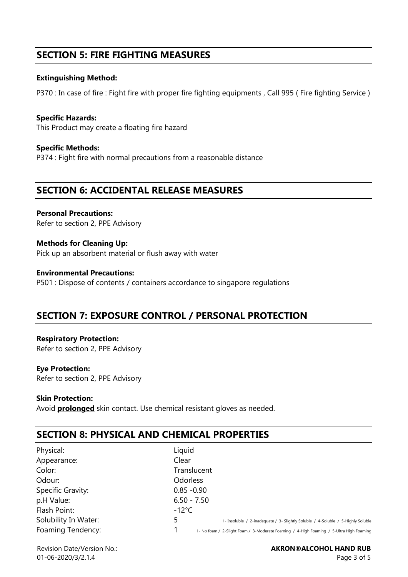### **SECTION 5: FIRE FIGHTING MEASURES**

#### **Extinguishing Method:**

P370 : In case of fire : Fight fire with proper fire fighting equipments , Call 995 ( Fire fighting Service )

**Specific Hazards:**  This Product may create a floating fire hazard

**Specific Methods:** P374 : Fight fire with normal precautions from a reasonable distance

### **SECTION 6: ACCIDENTAL RELEASE MEASURES**

**Personal Precautions:**  Refer to section 2, PPE Advisory

**Methods for Cleaning Up:** Pick up an absorbent material or flush away with water

**Environmental Precautions:** P501 : Dispose of contents / containers accordance to singapore regulations

### **SECTION 7: EXPOSURE CONTROL / PERSONAL PROTECTION**

**Respiratory Protection:**  Refer to section 2, PPE Advisory

#### **Eye Protection:**

Refer to section 2, PPE Advisory

#### **Skin Protection:**

Avoid **prolonged** skin contact. Use chemical resistant gloves as needed.

### **SECTION 8: PHYSICAL AND CHEMICAL PROPERTIES**

| Physical:            | Liquid                                                                                  |
|----------------------|-----------------------------------------------------------------------------------------|
| Appearance:          | Clear                                                                                   |
| Color:               | Translucent                                                                             |
| Odour:               | <b>Odorless</b>                                                                         |
| Specific Gravity:    | $0.85 - 0.90$                                                                           |
| p.H Value:           | $6.50 - 7.50$                                                                           |
| Flash Point:         | $-12^{\circ}$ C                                                                         |
| Solubility In Water: | 1- Insoluble / 2-inadequate / 3- Slightly Soluble / 4-Soluble / 5-Highly Soluble        |
| Foaming Tendency:    | 1- No foam / 2-Slight Foam / 3-Moderate Foaming / 4-High Foaming / 5-Ultra High Foaming |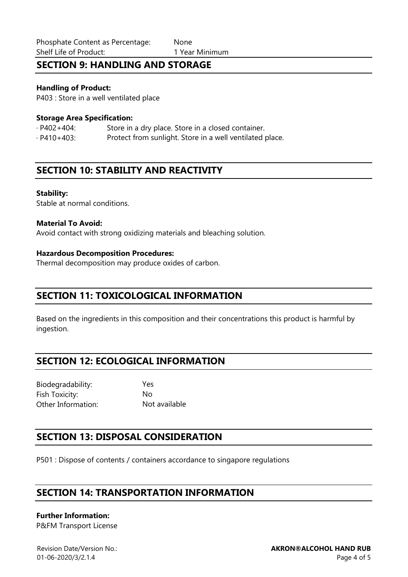### **SECTION 9: HANDLING AND STORAGE**

#### **Handling of Product:**

P403 : Store in a well ventilated place

#### **Storage Area Specification:**

· P402+404: Store in a dry place. Store in a closed container. · P410+403: Protect from sunlight. Store in a well ventilated place.

### **SECTION 10: STABILITY AND REACTIVITY**

#### **Stability:**

Stable at normal conditions.

#### **Material To Avoid:**

Avoid contact with strong oxidizing materials and bleaching solution.

#### **Hazardous Decomposition Procedures:**

Thermal decomposition may produce oxides of carbon.

### **SECTION 11: TOXICOLOGICAL INFORMATION**

Based on the ingredients in this composition and their concentrations this product is harmful by ingestion.

### **SECTION 12: ECOLOGICAL INFORMATION**

Biodegradability: Yes Fish Toxicity: No Other Information: Not available

### **SECTION 13: DISPOSAL CONSIDERATION**

P501 : Dispose of contents / containers accordance to singapore regulations

### **SECTION 14: TRANSPORTATION INFORMATION**

#### **Further Information:**

P&FM Transport License